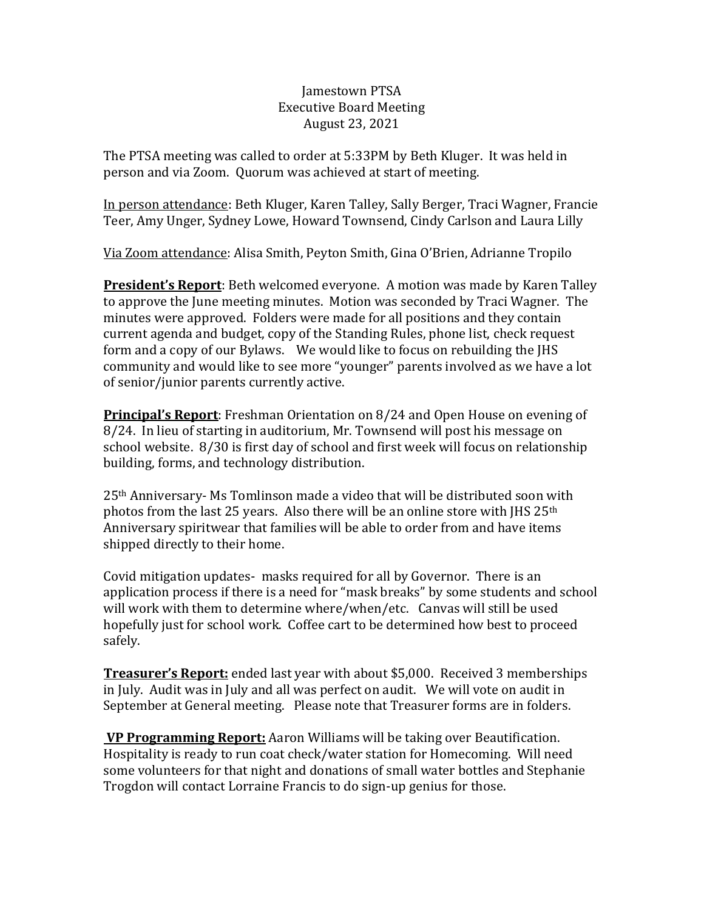## Jamestown PTSA Executive Board Meeting August 23, 2021

The PTSA meeting was called to order at 5:33PM by Beth Kluger. It was held in person and via Zoom. Quorum was achieved at start of meeting.

In person attendance: Beth Kluger, Karen Talley, Sally Berger, Traci Wagner, Francie Teer, Amy Unger, Sydney Lowe, Howard Townsend, Cindy Carlson and Laura Lilly

Via Zoom attendance: Alisa Smith, Peyton Smith, Gina O'Brien, Adrianne Tropilo

**President's Report**: Beth welcomed everyone. A motion was made by Karen Talley to approve the June meeting minutes. Motion was seconded by Traci Wagner. The minutes were approved. Folders were made for all positions and they contain current agenda and budget, copy of the Standing Rules, phone list, check request form and a copy of our Bylaws. We would like to focus on rebuilding the JHS community and would like to see more "younger" parents involved as we have a lot of senior/junior parents currently active.

**Principal's Report**: Freshman Orientation on 8/24 and Open House on evening of 8/24. In lieu of starting in auditorium, Mr. Townsend will post his message on school website. 8/30 is first day of school and first week will focus on relationship building, forms, and technology distribution.

25th Anniversary- Ms Tomlinson made a video that will be distributed soon with photos from the last 25 years. Also there will be an online store with JHS 25<sup>th</sup> Anniversary spiritwear that families will be able to order from and have items shipped directly to their home.

Covid mitigation updates- masks required for all by Governor. There is an application process if there is a need for "mask breaks" by some students and school will work with them to determine where/when/etc. Canvas will still be used hopefully just for school work. Coffee cart to be determined how best to proceed safely.

**Treasurer's Report:** ended last year with about \$5,000. Received 3 memberships in July. Audit was in July and all was perfect on audit. We will vote on audit in September at General meeting. Please note that Treasurer forms are in folders.

**VP Programming Report:** Aaron Williams will be taking over Beautification. Hospitality is ready to run coat check/water station for Homecoming. Will need some volunteers for that night and donations of small water bottles and Stephanie Trogdon will contact Lorraine Francis to do sign-up genius for those.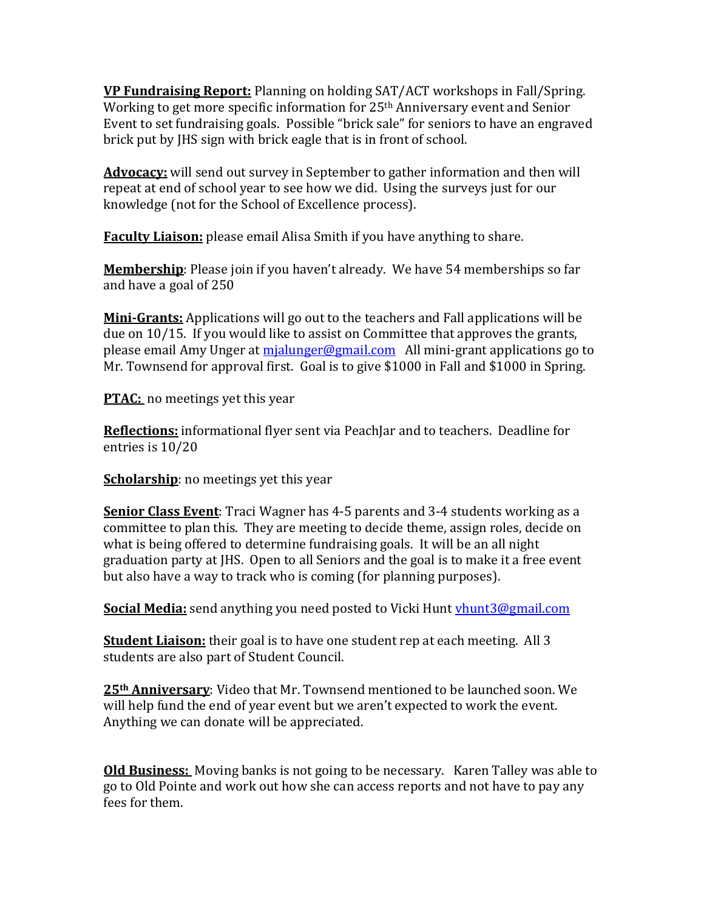**VP Fundraising Report:** Planning on holding SAT/ACT workshops in Fall/Spring. Working to get more specific information for 25th Anniversary event and Senior Event to set fundraising goals. Possible "brick sale" for seniors to have an engraved brick put by JHS sign with brick eagle that is in front of school.

**Advocacy:** will send out survey in September to gather information and then will repeat at end of school year to see how we did. Using the surveys just for our knowledge (not for the School of Excellence process).

**Faculty Liaison:** please email Alisa Smith if you have anything to share.

**Membership**: Please join if you haven't already. We have 54 memberships so far and have a goal of 250

**Mini-Grants:** Applications will go out to the teachers and Fall applications will be due on 10/15. If you would like to assist on Committee that approves the grants, please email Amy Unger at [mjalunger@gmail.com](mailto:mjalunger@gmail.com) All mini-grant applications go to Mr. Townsend for approval first. Goal is to give \$1000 in Fall and \$1000 in Spring.

**PTAC:** no meetings yet this year

**Reflections:** informational flyer sent via PeachJar and to teachers. Deadline for entries is 10/20

**Scholarship**: no meetings yet this year

**Senior Class Event**: Traci Wagner has 4-5 parents and 3-4 students working as a committee to plan this. They are meeting to decide theme, assign roles, decide on what is being offered to determine fundraising goals. It will be an all night graduation party at JHS. Open to all Seniors and the goal is to make it a free event but also have a way to track who is coming (for planning purposes).

**Social Media:** send anything you need posted to Vicki Hunt *yhunt3@gmail.com* 

**Student Liaison:** their goal is to have one student rep at each meeting. All 3 students are also part of Student Council.

**25th Anniversary**: Video that Mr. Townsend mentioned to be launched soon. We will help fund the end of year event but we aren't expected to work the event. Anything we can donate will be appreciated.

**Old Business:** Moving banks is not going to be necessary. Karen Talley was able to go to Old Pointe and work out how she can access reports and not have to pay any fees for them.